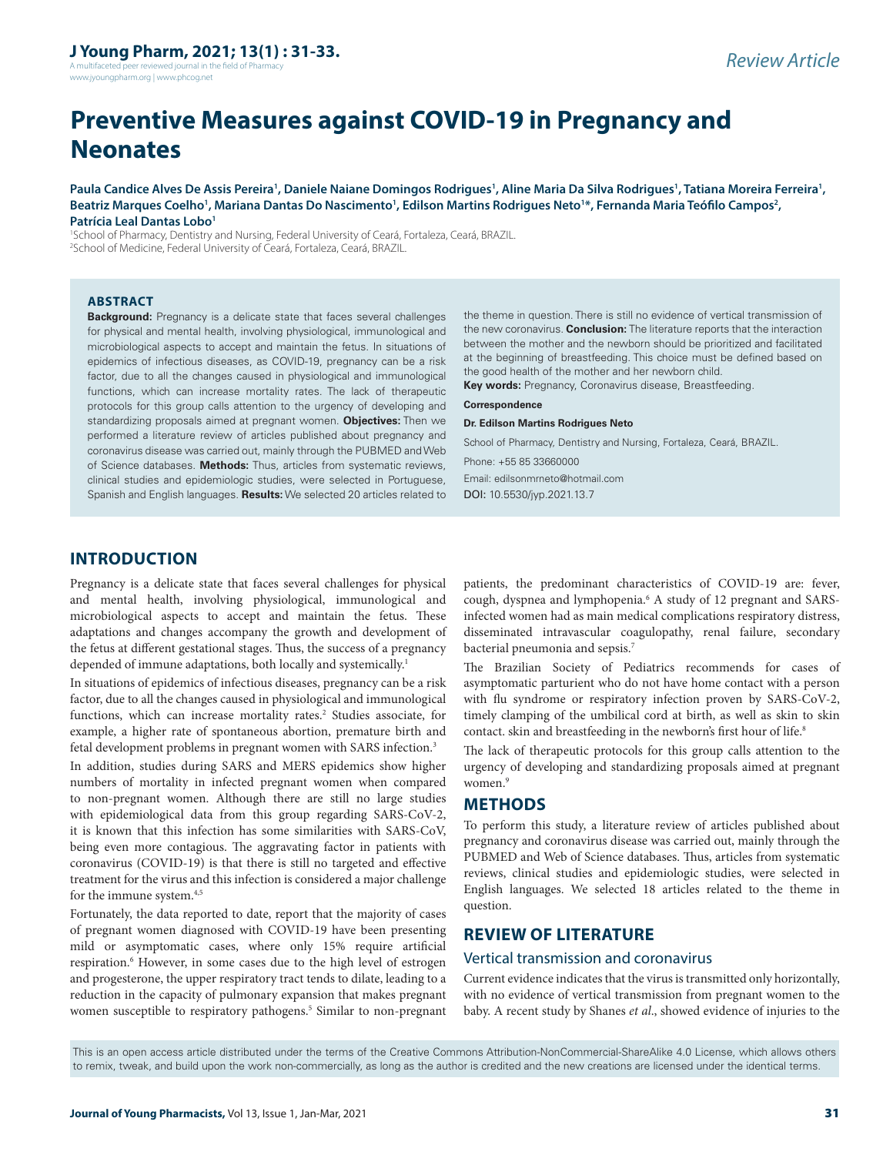A multifaceted peer reviewed journal in the field of Pharmacy www.jyoungpharm.org | www.phcog.net

# **Preventive Measures against COVID-19 in Pregnancy and Neonates**

Paula Candice Alves De Assis Pereira<sup>1</sup>, Daniele Naiane Domingos Rodrigues<sup>1</sup>, Aline Maria Da Silva Rodrigues<sup>1</sup>, Tatiana Moreira Ferreira<sup>1</sup>, Beatriz Marques Coelho<sup>1</sup>, Mariana Dantas Do Nascimento<sup>1</sup>, Edilson Martins Rodrigues Neto<sup>1\*</sup>, Fernanda Maria Teófilo Campos<sup>2</sup>, **Patrícia Leal Dantas Lobo1**

1 School of Pharmacy, Dentistry and Nursing, Federal University of Ceará, Fortaleza, Ceará, BRAZIL. 2 School of Medicine, Federal University of Ceará, Fortaleza, Ceará, BRAZIL.

#### **ABSTRACT**

**Background:** Pregnancy is a delicate state that faces several challenges for physical and mental health, involving physiological, immunological and microbiological aspects to accept and maintain the fetus. In situations of epidemics of infectious diseases, as COVID-19, pregnancy can be a risk factor, due to all the changes caused in physiological and immunological functions, which can increase mortality rates. The lack of therapeutic protocols for this group calls attention to the urgency of developing and standardizing proposals aimed at pregnant women. **Objectives:** Then we performed a literature review of articles published about pregnancy and coronavirus disease was carried out, mainly through the PUBMED and Web of Science databases. **Methods:** Thus, articles from systematic reviews, clinical studies and epidemiologic studies, were selected in Portuguese, Spanish and English languages. **Results:** We selected 20 articles related to

the theme in question. There is still no evidence of vertical transmission of the new coronavirus. **Conclusion:** The literature reports that the interaction between the mother and the newborn should be prioritized and facilitated at the beginning of breastfeeding. This choice must be defined based on the good health of the mother and her newborn child.

**Key words:** Pregnancy, Coronavirus disease, Breastfeeding.

#### **Correspondence**

**Dr. Edilson Martins Rodrigues Neto**

School of Pharmacy, Dentistry and Nursing, Fortaleza, Ceará, BRAZIL.

Phone: +55 85 33660000

Email: edilsonmrneto@hotmail.com DOI: 10.5530/jyp.2021.13.7

## **INTRODUCTION**

Pregnancy is a delicate state that faces several challenges for physical and mental health, involving physiological, immunological and microbiological aspects to accept and maintain the fetus. These adaptations and changes accompany the growth and development of the fetus at different gestational stages. Thus, the success of a pregnancy depended of immune adaptations, both locally and systemically.<sup>1</sup>

In situations of epidemics of infectious diseases, pregnancy can be a risk factor, due to all the changes caused in physiological and immunological functions, which can increase mortality rates.<sup>2</sup> Studies associate, for example, a higher rate of spontaneous abortion, premature birth and fetal development problems in pregnant women with SARS infection.<sup>3</sup>

In addition, studies during SARS and MERS epidemics show higher numbers of mortality in infected pregnant women when compared to non-pregnant women. Although there are still no large studies with epidemiological data from this group regarding SARS-CoV-2, it is known that this infection has some similarities with SARS-CoV, being even more contagious. The aggravating factor in patients with coronavirus (COVID-19) is that there is still no targeted and effective treatment for the virus and this infection is considered a major challenge for the immune system.<sup>4,5</sup>

Fortunately, the data reported to date, report that the majority of cases of pregnant women diagnosed with COVID-19 have been presenting mild or asymptomatic cases, where only 15% require artificial respiration.<sup>6</sup> However, in some cases due to the high level of estrogen and progesterone, the upper respiratory tract tends to dilate, leading to a reduction in the capacity of pulmonary expansion that makes pregnant women susceptible to respiratory pathogens.<sup>5</sup> Similar to non-pregnant

patients, the predominant characteristics of COVID-19 are: fever, cough, dyspnea and lymphopenia.6 A study of 12 pregnant and SARSinfected women had as main medical complications respiratory distress, disseminated intravascular coagulopathy, renal failure, secondary bacterial pneumonia and sepsis.7

The Brazilian Society of Pediatrics recommends for cases of asymptomatic parturient who do not have home contact with a person with flu syndrome or respiratory infection proven by SARS-CoV-2, timely clamping of the umbilical cord at birth, as well as skin to skin contact. skin and breastfeeding in the newborn's first hour of life.<sup>8</sup>

The lack of therapeutic protocols for this group calls attention to the urgency of developing and standardizing proposals aimed at pregnant women.<sup>9</sup>

## **METHODS**

To perform this study, a literature review of articles published about pregnancy and coronavirus disease was carried out, mainly through the PUBMED and Web of Science databases. Thus, articles from systematic reviews, clinical studies and epidemiologic studies, were selected in English languages. We selected 18 articles related to the theme in question.

## **REVIEW OF LITERATURE**

#### Vertical transmission and coronavirus

Current evidence indicates that the virus is transmitted only horizontally, with no evidence of vertical transmission from pregnant women to the baby. A recent study by Shanes *et al*., showed evidence of injuries to the

This is an open access article distributed under the terms of the Creative Commons Attribution-NonCommercial-ShareAlike 4.0 License, which allows others to remix, tweak, and build upon the work non-commercially, as long as the author is credited and the new creations are licensed under the identical terms.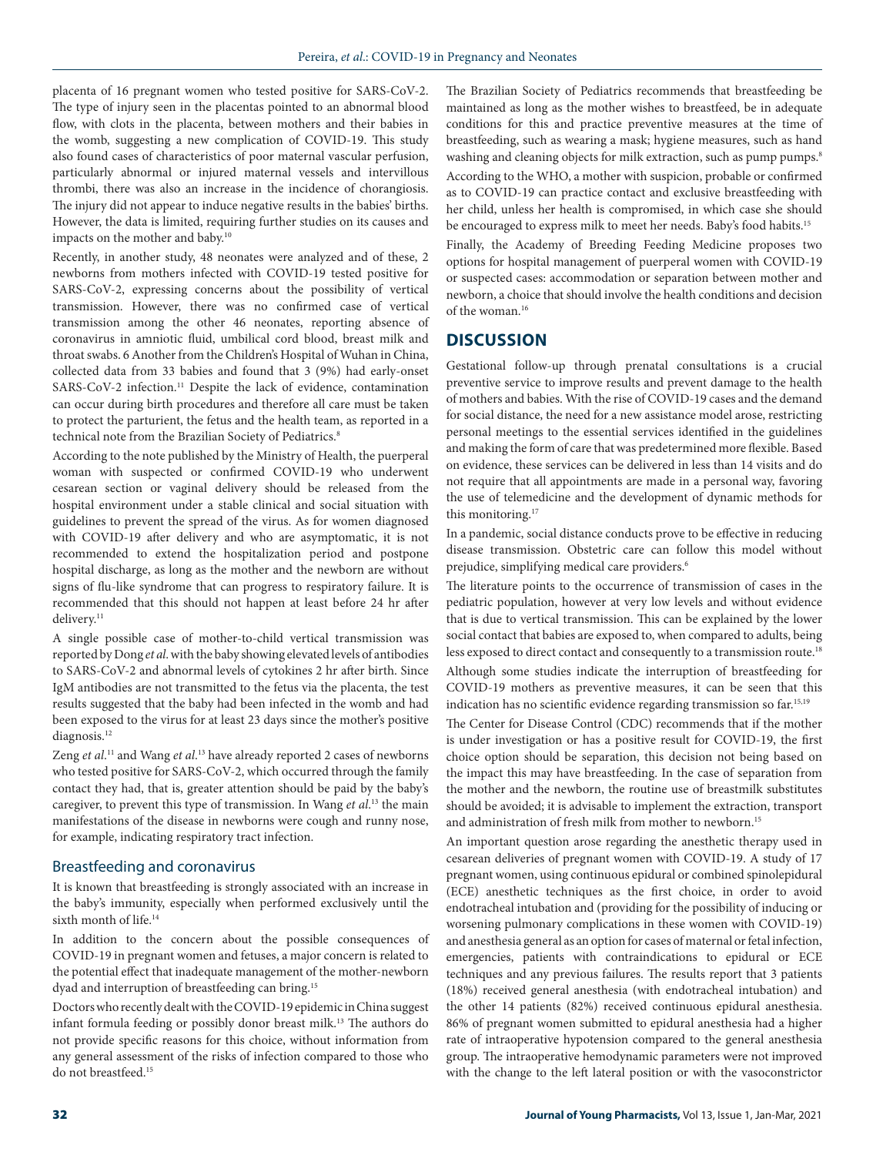placenta of 16 pregnant women who tested positive for SARS-CoV-2. The type of injury seen in the placentas pointed to an abnormal blood flow, with clots in the placenta, between mothers and their babies in the womb, suggesting a new complication of COVID-19. This study also found cases of characteristics of poor maternal vascular perfusion, particularly abnormal or injured maternal vessels and intervillous thrombi, there was also an increase in the incidence of chorangiosis. The injury did not appear to induce negative results in the babies' births. However, the data is limited, requiring further studies on its causes and impacts on the mother and baby.10

Recently, in another study, 48 neonates were analyzed and of these, 2 newborns from mothers infected with COVID-19 tested positive for SARS-CoV-2, expressing concerns about the possibility of vertical transmission. However, there was no confirmed case of vertical transmission among the other 46 neonates, reporting absence of coronavirus in amniotic fluid, umbilical cord blood, breast milk and throat swabs. 6 Another from the Children's Hospital of Wuhan in China, collected data from 33 babies and found that 3 (9%) had early-onset SARS-CoV-2 infection.<sup>11</sup> Despite the lack of evidence, contamination can occur during birth procedures and therefore all care must be taken to protect the parturient, the fetus and the health team, as reported in a technical note from the Brazilian Society of Pediatrics.<sup>8</sup>

According to the note published by the Ministry of Health, the puerperal woman with suspected or confirmed COVID-19 who underwent cesarean section or vaginal delivery should be released from the hospital environment under a stable clinical and social situation with guidelines to prevent the spread of the virus. As for women diagnosed with COVID-19 after delivery and who are asymptomatic, it is not recommended to extend the hospitalization period and postpone hospital discharge, as long as the mother and the newborn are without signs of flu-like syndrome that can progress to respiratory failure. It is recommended that this should not happen at least before 24 hr after delivery.<sup>11</sup>

A single possible case of mother-to-child vertical transmission was reported by Dong *et al*. with the baby showing elevated levels of antibodies to SARS-CoV-2 and abnormal levels of cytokines 2 hr after birth. Since IgM antibodies are not transmitted to the fetus via the placenta, the test results suggested that the baby had been infected in the womb and had been exposed to the virus for at least 23 days since the mother's positive diagnosis.<sup>12</sup>

Zeng *et al*.<sup>11</sup> and Wang *et al.*<sup>13</sup> have already reported 2 cases of newborns who tested positive for SARS-CoV-2, which occurred through the family contact they had, that is, greater attention should be paid by the baby's caregiver, to prevent this type of transmission. In Wang *et al*. 13 the main manifestations of the disease in newborns were cough and runny nose, for example, indicating respiratory tract infection.

### Breastfeeding and coronavirus

It is known that breastfeeding is strongly associated with an increase in the baby's immunity, especially when performed exclusively until the sixth month of life.<sup>14</sup>

In addition to the concern about the possible consequences of COVID-19 in pregnant women and fetuses, a major concern is related to the potential effect that inadequate management of the mother-newborn dyad and interruption of breastfeeding can bring.<sup>15</sup>

Doctors who recently dealt with the COVID-19 epidemic in China suggest infant formula feeding or possibly donor breast milk.13 The authors do not provide specific reasons for this choice, without information from any general assessment of the risks of infection compared to those who do not breastfeed.15

The Brazilian Society of Pediatrics recommends that breastfeeding be maintained as long as the mother wishes to breastfeed, be in adequate conditions for this and practice preventive measures at the time of breastfeeding, such as wearing a mask; hygiene measures, such as hand washing and cleaning objects for milk extraction, such as pump pumps.<sup>8</sup> According to the WHO, a mother with suspicion, probable or confirmed as to COVID-19 can practice contact and exclusive breastfeeding with her child, unless her health is compromised, in which case she should be encouraged to express milk to meet her needs. Baby's food habits.<sup>15</sup>

Finally, the Academy of Breeding Feeding Medicine proposes two options for hospital management of puerperal women with COVID-19 or suspected cases: accommodation or separation between mother and newborn, a choice that should involve the health conditions and decision of the woman.16

# **DISCUSSION**

Gestational follow-up through prenatal consultations is a crucial preventive service to improve results and prevent damage to the health of mothers and babies. With the rise of COVID-19 cases and the demand for social distance, the need for a new assistance model arose, restricting personal meetings to the essential services identified in the guidelines and making the form of care that was predetermined more flexible. Based on evidence, these services can be delivered in less than 14 visits and do not require that all appointments are made in a personal way, favoring the use of telemedicine and the development of dynamic methods for this monitoring.<sup>17</sup>

In a pandemic, social distance conducts prove to be effective in reducing disease transmission. Obstetric care can follow this model without prejudice, simplifying medical care providers.<sup>6</sup>

The literature points to the occurrence of transmission of cases in the pediatric population, however at very low levels and without evidence that is due to vertical transmission. This can be explained by the lower social contact that babies are exposed to, when compared to adults, being less exposed to direct contact and consequently to a transmission route.<sup>18</sup>

Although some studies indicate the interruption of breastfeeding for COVID-19 mothers as preventive measures, it can be seen that this indication has no scientific evidence regarding transmission so far.15,19

The Center for Disease Control (CDC) recommends that if the mother is under investigation or has a positive result for COVID-19, the first choice option should be separation, this decision not being based on the impact this may have breastfeeding. In the case of separation from the mother and the newborn, the routine use of breastmilk substitutes should be avoided; it is advisable to implement the extraction, transport and administration of fresh milk from mother to newborn.<sup>15</sup>

An important question arose regarding the anesthetic therapy used in cesarean deliveries of pregnant women with COVID-19. A study of 17 pregnant women, using continuous epidural or combined spinolepidural (ECE) anesthetic techniques as the first choice, in order to avoid endotracheal intubation and (providing for the possibility of inducing or worsening pulmonary complications in these women with COVID-19) and anesthesia general as an option for cases of maternal or fetal infection, emergencies, patients with contraindications to epidural or ECE techniques and any previous failures. The results report that 3 patients (18%) received general anesthesia (with endotracheal intubation) and the other 14 patients (82%) received continuous epidural anesthesia. 86% of pregnant women submitted to epidural anesthesia had a higher rate of intraoperative hypotension compared to the general anesthesia group. The intraoperative hemodynamic parameters were not improved with the change to the left lateral position or with the vasoconstrictor